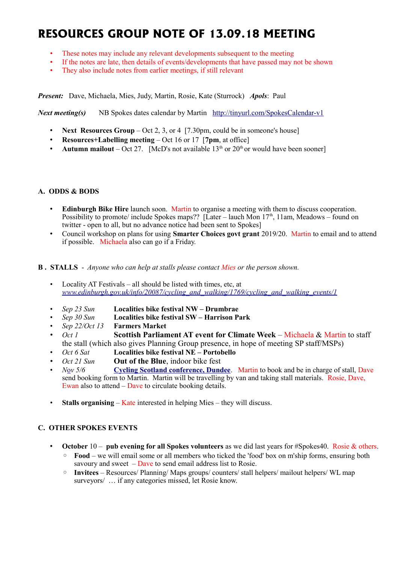# **RESOURCES GROUP NOTE OF 13.09.18 MEETING**

- These notes may include any relevant developments subsequent to the meeting
- If the notes are late, then details of events/developments that have passed may not be shown
- They also include notes from earlier meetings, if still relevant

*Present:* Dave, Michaela, Mies, Judy, Martin, Rosie, Kate (Sturrock) *Apols*: Paul

*Next meeting(s)* NB Spokes dates calendar by Martin <http://tinyurl.com/SpokesCalendar-v1>

- **Next Resources Group** Oct 2, 3, or 4 [7.30pm, could be in someone's house]
- **Resources+Labelling meeting** Oct 16 or 17 [**7pm**, at office]
- **Autumn mailout** Oct 27. [McD's not available  $13<sup>th</sup>$  or 20<sup>th</sup> or would have been sooner]

#### **A. ODDS & BODS**

- **Edinburgh Bike Hire** launch soon. Martin to organise a meeting with them to discuss cooperation. Possibility to promote/ include Spokes maps?? [Later – lauch Mon  $17<sup>th</sup>$ , 11am, Meadows – found on twitter - open to all, but no advance notice had been sent to Spokes]
- Council workshop on plans for using **Smarter Choices govt grant** 2019/20. Martin to email and to attend if possible. Michaela also can go if a Friday.

#### **B . STALLS** - *Anyone who can help at stalls please contact Mies or the person shown.*

- Locality AT Festivals all should be listed with times, etc, at *[www.edinburgh.gov.uk/info/20087/cycling\\_and\\_walking/1769/cycling\\_and\\_walking\\_events/1](http://www.edinburgh.gov.uk/info/20087/cycling_and_walking/1769/cycling_and_walking_events/1)*
- *Sep 23 Sun* **Localities bike festival NW Drumbrae**
- *Sep 30 Sun* **Localities bike festival SW Harrison Park**
- *Sep 22/Oct 13* **Farmers Market**
- *Oct 1* **Scottish Parliament AT event for Climate Week** Michaela & Martin to staff the stall (which also gives Planning Group presence, in hope of meeting SP staff/MSPs)
- *Oct 6 Sat* **Localities bike festival NE Portobello**
- *Oct 21 Sun* **Out of the Blue**, indoor bike fest
- *N*[o](https://www.pathsforall.org.uk/pfa/get-involved/scotlands-national-active-travel-conference.html)*v 5/6* **[Cycling Scotland conference, Dundee](http://mailchi.mp/cycling/early-bird-discount-ends-today-monday-2nd-october-2036965?e=df4f9c501f)**. Martin to book and be in charge of stall, Dave send booking form to Martin. Martin will be travelling by van and taking stall materials. Rosie, Dave, Ewan also to attend – Dave to circulate booking details.
- **Stalls organising** Kate interested in helping Mies they will discuss.

# **C. OTHER SPOKES EVENTS**

- **October** 10 **pub evening for all Spokes volunteers** as we did last years for #Spokes40. Rosie & others.
	- **Food** we will email some or all members who ticked the 'food' box on m'ship forms, ensuring both savoury and sweet  $-\text{Dave}$  to send email address list to Rosie.
	- **Invitees** Resources/ Planning/ Maps groups/ counters/ stall helpers/ mailout helpers/ WL map surveyors/ … if any categories missed, let Rosie know.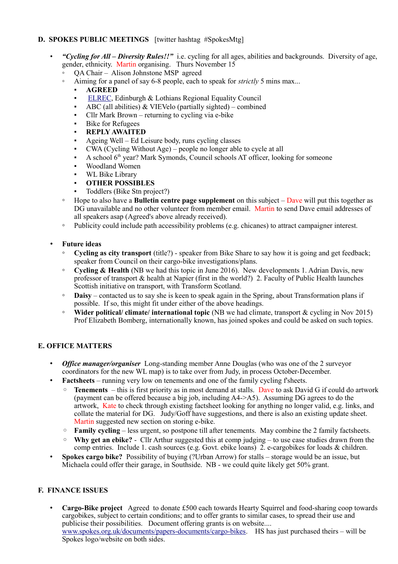# **D. SPOKES PUBLIC MEETINGS** [twitter hashtag #SpokesMtg]

- *"Cycling for All Diversity Rules!!"* i.e. cycling for all ages, abilities and backgrounds. Diversity of age, gender, ethnicity. Martin organising. Thurs November 15
	- QA Chair Alison Johnstone MSP agreed
		- Aiming for a panel of say 6-8 people, each to speak for *strictly* 5 mins max...
			- **AGREED**
			- [ELREC,](http://www.elrec.org.uk/) Edinburgh & Lothians Regional Equality Council
			- **•** ABC (all abilities)  $\&$  VIEVelo (partially sighted) combined
			- $Cllr$  Mark Brown returning to cycling via e-bike
			- **Bike for Refugees**
			- **REPLY AWAITED**
			- Ageing Well Ed Leisure body, runs cycling classes
			- CWA (Cycling Without Age) people no longer able to cycle at all
			- A school  $6<sup>th</sup>$  year? Mark Symonds, Council schools AT officer, looking for someone
			- Woodland Women
			- WL Bike Library
			- **OTHER POSSIBLES**
			- Toddlers (Bike Stn project?)
	- Hope to also have a **Bulletin centre page supplement** on this subject Dave will put this together as DG unavailable and no other volunteer from member email. Martin to send Dave email addresses of all speakers asap (Agreed's above already received).
	- Publicity could include path accessibility problems (e.g. chicanes) to attract campaigner interest.

# • **Future ideas**

- **Cycling as city transport** (title?) speaker from Bike Share to say how it is going and get feedback; speaker from Council on their cargo-bike investigations/plans.
- **Cycling & Health** (NB we had this topic in June 2016). New developments 1. Adrian Davis, new professor of transport & health at Napier (first in the world?) 2. Faculty of Public Health launches Scottish initiative on transport, with Transform Scotland.
- **Daisy** contacted us to say she is keen to speak again in the Spring, about Transformation plans if possible. If so, this might fit under either of the above headings.
- **Wider political/ climate/ international topic** (NB we had climate, transport & cycling in Nov 2015) Prof Elizabeth Bomberg, internationally known, has joined spokes and could be asked on such topics.

# **E. OFFICE MATTERS**

- *Office manager/organiser* Long-standing member Anne Douglas (who was one of the 2 surveyor coordinators for the new WL map) is to take over from Judy, in process October-December.
- **Factsheets** running very low on tenements and one of the family cycling f'sheets.
	- **Tenements**  this is first priority as in most demand at stalls. Dave to ask David G if could do artwork (payment can be offered because a big job, including A4->A5). Assuming DG agrees to do the artwork, Kate to check through existing factsheet looking for anything no longer valid, e.g. links, and collate the material for DG. Judy/Goff have suggestions, and there is also an existing update sheet. Martin suggested new section on storing e-bike.
	- **Family cycling** less urgent, so postpone till after tenements. May combine the 2 family factsheets.
	- **Why get an ebike?** Cllr Arthur suggested this at comp judging to use case studies drawn from the comp entries. Include 1. cash sources (e.g. Govt. ebike loans) 2. e-cargobikes for loads & children.
- **Spokes cargo bike?** Possibility of buying (?Urban Arrow) for stalls storage would be an issue, but Michaela could offer their garage, in Southside. NB - we could quite likely get 50% grant.

# **F. FINANCE ISSUES**

• **Cargo-Bike project** Agreed to donate £500 each towards Hearty Squirrel and food-sharing coop towards cargobikes, subject to certain conditions; and to offer grants to similar cases, to spread their use and publicise their possibilities. Document offering grants is on website.... [www.spokes.org.uk/documents/papers-documents/cargo-bikes.](http://www.spokes.org.uk/documents/papers-documents/cargo-bikes) HS has just purchased theirs – will be Spokes logo/website on both sides.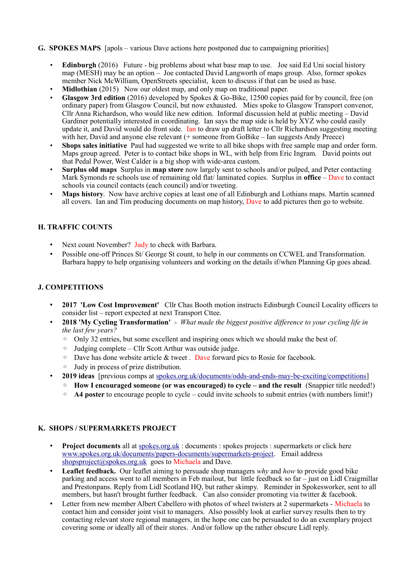#### **G. SPOKES MAPS** [apols – various Dave actions here postponed due to campaigning priorities]

- **Edinburgh** (2016) Future big problems about what base map to use. Joe said Ed Uni social history map (MESH) may be an option – Joe contacted David Langworth of maps group. Also, former spokes member Nick McWilliam, OpenStreets specialist, keen to discuss if that can be used as base.
- **Midlothian** (2015) Now our oldest map, and only map on traditional paper.
- **Glasgow 3rd edition** (2016) developed by Spokes & Go-Bike, 12500 copies paid for by council, free (on ordinary paper) from Glasgow Council, but now exhausted. Mies spoke to Glasgow Transport convenor, Cllr Anna Richardson, who would like new edition. Informal discussion held at public meeting – David Gardiner potentially interested in coordinating. Ian says the map side is held by XYZ who could easily update it, and David would do front side. Ian to draw up draft letter to Cllr Richardson suggesting meeting with her, David and anyone else relevant (+ someone from GoBike – Ian suggests Andy Preece)
- **Shops sales initiative** Paul had suggested we write to all bike shops with free sample map and order form. Maps group agreed. Peter is to contact bike shops in WL, with help from Eric Ingram. David points out that Pedal Power, West Calder is a big shop with wide-area custom.
- **Surplus old maps** Surplus in **map store** now largely sent to schools and/or pulped, and Peter contacting Mark Symonds re schools use of remaining old flat/ laminated copies. Surplus in **office** – Dave to contact schools via council contacts (each council) and/or tweeting.
- **Maps history**. Now have archive copies at least one of all Edinburgh and Lothians maps. Martin scanned all covers. Ian and Tim producing documents on map history, Dave to add pictures then go to website.

#### **H. TRAFFIC COUNTS**

- Next count November? Judy to check with Barbara.
- Possible one-off Princes St/ George St count, to help in our comments on CCWEL and Transformation. Barbara happy to help organising volunteers and working on the details if/when Planning Gp goes ahead.

#### **J. COMPETITIONS**

- **2017 'Low Cost Improvement'** Cllr Chas Booth motion instructs Edinburgh Council Locality officers to consider list – report expected at next Transport Cttee.
- **2018 'My Cycling Transformation'**  *What made the biggest positive difference to your cycling life in the last few years?*
	- Only 32 entries, but some excellent and inspiring ones which we should make the best of.
	- Judging complete Cllr Scott Arthur was outside judge.
	- $\circ$  Dave has done website article & tweet. Dave forward pics to Rosie for facebook.
	- Judy in process of prize distribution.
- **2019 ideas** [previous comps at [spokes.org.uk/documents/odds-and-ends-may-be-exciting/competitions\]](http://www.spokes.org.uk/documents/odds-and-ends-may-be-exciting/competitions/)
	- **How I encouraged someone (or was encouraged) to cycle and the result** (Snappier title needed!)
	- **A4 poster** to encourage people to cycle could invite schools to submit entries (with numbers limit!)

#### **K. SHOPS / SUPERMARKETS PROJECT**

- **Project documents** all at spokes.org.uk: documents : spokes projects : supermarkets or click here [www.spokes.org.uk/documents/papers-documents/supermarkets-project.](http://www.spokes.org.uk/documents/papers-documents/supermarkets-project) Email address [shopsproject@spokes.org.uk](mailto:shopsproject@spokes.org.uk) goes to Michaela and Dave.
- **Leaflet feedback.** Our leaflet aiming to persuade shop managers *why* and *how* to provide good bike parking and access went to all members in Feb mailout, but little feedback so far – just on Lidl Craigmillar and Prestonpans. Reply from Lidl Scotland HQ, but rather skimpy. Reminder in Spokesworker, sent to all members, but hasn't brought further feedback. Can also consider promoting via twitter & facebook.
- Letter from new member Albert Cabellero with photos of wheel twisters at 2 supermarkets Michaela to contact him and consider joint visit to managers. Also possibly look at earlier survey results then to try contacting relevant store regional managers, in the hope one can be persuaded to do an exemplary project covering some or ideally all of their stores. And/or follow up the rather obscure Lidl reply.